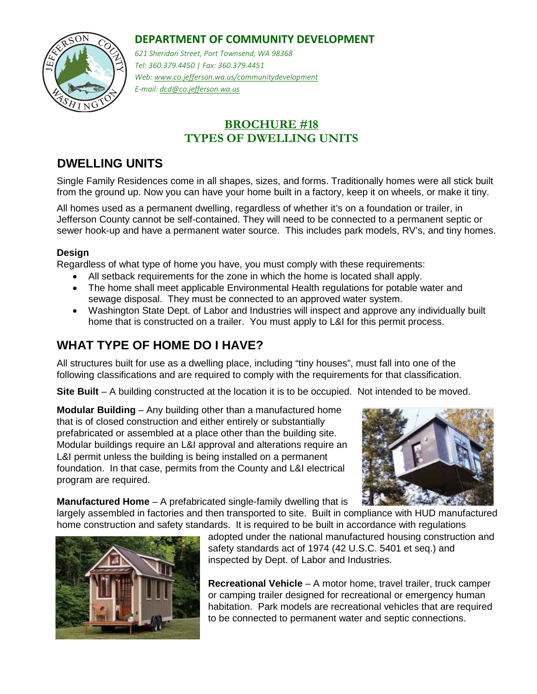#### **DEPARTMENT OF COMMUNITY DEVELOPMENT**



*621 Sheridan Street, Port Townsend, WA 98368 Tel: 360.379.4450 | Fax: 360.379.4451 Web: www.co.jefferson.wa.us/communitydevelopment E-mail: dcd@co.jefferson.wa.us*

### **BROCHURE #18 TYPES OF DWELLING UNITS**

# **DWELLING UNITS**

Single Family Residences come in all shapes, sizes, and forms. Traditionally homes were all stick built from the ground up. Now you can have your home built in a factory, keep it on wheels, or make it tiny.

All homes used as a permanent dwelling, regardless of whether it's on a foundation or trailer, in Jefferson County cannot be self-contained. They will need to be connected to a permanent septic or sewer hook-up and have a permanent water source. This includes park models, RV's, and tiny homes.

#### **Design**

Regardless of what type of home you have, you must comply with these requirements:

- All setback requirements for the zone in which the home is located shall apply.
- The home shall meet applicable Environmental Health regulations for potable water and sewage disposal. They must be connected to an approved water system.
- Washington State Dept. of Labor and Industries will inspect and approve any individually built home that is constructed on a trailer. You must apply to L&I for this permit process.

## **WHAT TYPE OF HOME DO I HAVE?**

All structures built for use as a dwelling place, including "tiny houses", must fall into one of the following classifications and are required to comply with the requirements for that classification.

**Site Built** – A building constructed at the location it is to be occupied. Not intended to be moved.

**Modular Building** – Any building other than a manufactured home that is of closed construction and either entirely or substantially prefabricated or assembled at a place other than the building site. Modular buildings require an L&I approval and alterations require an L&I permit unless the building is being installed on a permanent foundation. In that case, permits from the County and L&I electrical program are required.



**Manufactured Home** – A prefabricated single-family dwelling that is

largely assembled in factories and then transported to site. Built in compliance with HUD manufactured home construction and safety standards. It is required to be built in accordance with regulations



adopted under the national manufactured housing construction and safety standards act of 1974 (42 U.S.C. 5401 et seq.) and inspected by Dept. of Labor and Industries.

**Recreational Vehicle** – A motor home, travel trailer, truck camper or camping trailer designed for recreational or emergency human habitation. Park models are recreational vehicles that are required to be connected to permanent water and septic connections.